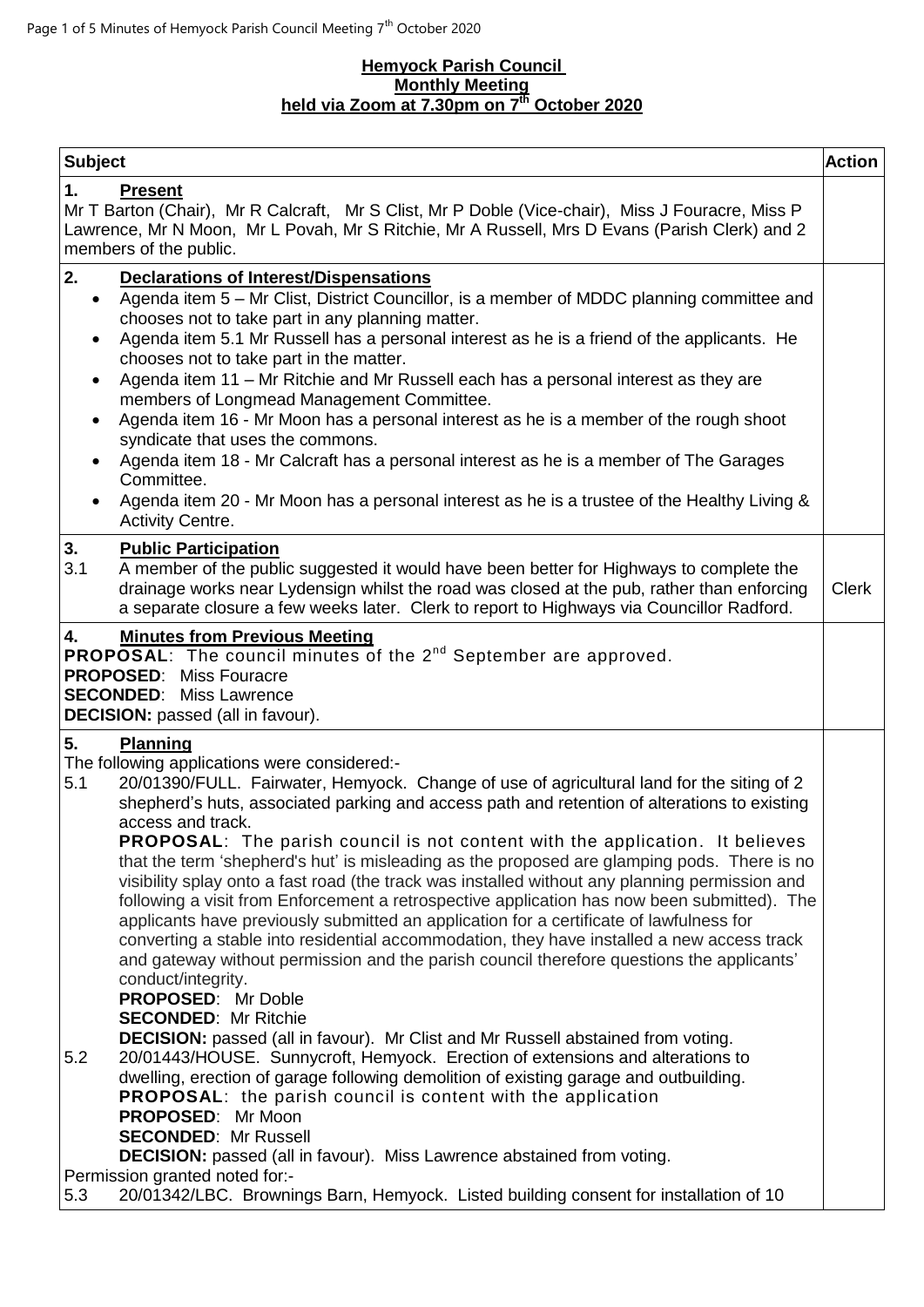#### **Hemyock Parish Council Monthly Meeting held via Zoom at 7.30pm on 7 th October 2020**

| <b>Subject</b>                                                                                                                                                                                                                                                                                                                                                                                                                                                                                                                                                                                                                                                                                                                                                                                                                                                                                                                                                                                                                                                                                                                                                                                                                                                                                                                                                                                                                                                         | <b>Action</b> |
|------------------------------------------------------------------------------------------------------------------------------------------------------------------------------------------------------------------------------------------------------------------------------------------------------------------------------------------------------------------------------------------------------------------------------------------------------------------------------------------------------------------------------------------------------------------------------------------------------------------------------------------------------------------------------------------------------------------------------------------------------------------------------------------------------------------------------------------------------------------------------------------------------------------------------------------------------------------------------------------------------------------------------------------------------------------------------------------------------------------------------------------------------------------------------------------------------------------------------------------------------------------------------------------------------------------------------------------------------------------------------------------------------------------------------------------------------------------------|---------------|
| 1.<br><b>Present</b><br>Mr T Barton (Chair), Mr R Calcraft, Mr S Clist, Mr P Doble (Vice-chair), Miss J Fouracre, Miss P<br>Lawrence, Mr N Moon, Mr L Povah, Mr S Ritchie, Mr A Russell, Mrs D Evans (Parish Clerk) and 2<br>members of the public.                                                                                                                                                                                                                                                                                                                                                                                                                                                                                                                                                                                                                                                                                                                                                                                                                                                                                                                                                                                                                                                                                                                                                                                                                    |               |
| 2.<br><b>Declarations of Interest/Dispensations</b><br>Agenda item 5 – Mr Clist, District Councillor, is a member of MDDC planning committee and<br>$\bullet$<br>chooses not to take part in any planning matter.<br>Agenda item 5.1 Mr Russell has a personal interest as he is a friend of the applicants. He<br>$\bullet$<br>chooses not to take part in the matter.<br>Agenda item 11 - Mr Ritchie and Mr Russell each has a personal interest as they are<br>members of Longmead Management Committee.<br>Agenda item 16 - Mr Moon has a personal interest as he is a member of the rough shoot<br>$\bullet$<br>syndicate that uses the commons.<br>Agenda item 18 - Mr Calcraft has a personal interest as he is a member of The Garages<br>$\bullet$<br>Committee.<br>Agenda item 20 - Mr Moon has a personal interest as he is a trustee of the Healthy Living &<br><b>Activity Centre.</b>                                                                                                                                                                                                                                                                                                                                                                                                                                                                                                                                                                    |               |
| 3.<br><b>Public Participation</b><br>3.1<br>A member of the public suggested it would have been better for Highways to complete the<br>drainage works near Lydensign whilst the road was closed at the pub, rather than enforcing<br>a separate closure a few weeks later. Clerk to report to Highways via Councillor Radford.                                                                                                                                                                                                                                                                                                                                                                                                                                                                                                                                                                                                                                                                                                                                                                                                                                                                                                                                                                                                                                                                                                                                         | <b>Clerk</b>  |
| 4.<br><b>Minutes from Previous Meeting</b><br><b>PROPOSAL:</b> The council minutes of the 2 <sup>nd</sup> September are approved.<br><b>PROPOSED:</b> Miss Fouracre<br><b>SECONDED:</b> Miss Lawrence<br><b>DECISION:</b> passed (all in favour).                                                                                                                                                                                                                                                                                                                                                                                                                                                                                                                                                                                                                                                                                                                                                                                                                                                                                                                                                                                                                                                                                                                                                                                                                      |               |
| 5.<br>Planning<br>The following applications were considered:-<br>20/01390/FULL. Fairwater, Hemyock. Change of use of agricultural land for the siting of 2<br>5.1<br>shepherd's huts, associated parking and access path and retention of alterations to existing<br>access and track.<br><b>PROPOSAL:</b> The parish council is not content with the application. It believes<br>that the term 'shepherd's hut' is misleading as the proposed are glamping pods. There is no<br>visibility splay onto a fast road (the track was installed without any planning permission and<br>following a visit from Enforcement a retrospective application has now been submitted). The<br>applicants have previously submitted an application for a certificate of lawfulness for<br>converting a stable into residential accommodation, they have installed a new access track<br>and gateway without permission and the parish council therefore questions the applicants'<br>conduct/integrity.<br><b>PROPOSED:</b> Mr Doble<br><b>SECONDED: Mr Ritchie</b><br><b>DECISION:</b> passed (all in favour). Mr Clist and Mr Russell abstained from voting.<br>5.2<br>20/01443/HOUSE. Sunnycroft, Hemyock. Erection of extensions and alterations to<br>dwelling, erection of garage following demolition of existing garage and outbuilding.<br><b>PROPOSAL:</b> the parish council is content with the application<br><b>PROPOSED:</b> Mr Moon<br><b>SECONDED: Mr Russell</b> |               |
| <b>DECISION:</b> passed (all in favour). Miss Lawrence abstained from voting.<br>Permission granted noted for:-<br>20/01342/LBC. Brownings Barn, Hemyock. Listed building consent for installation of 10<br>5.3                                                                                                                                                                                                                                                                                                                                                                                                                                                                                                                                                                                                                                                                                                                                                                                                                                                                                                                                                                                                                                                                                                                                                                                                                                                        |               |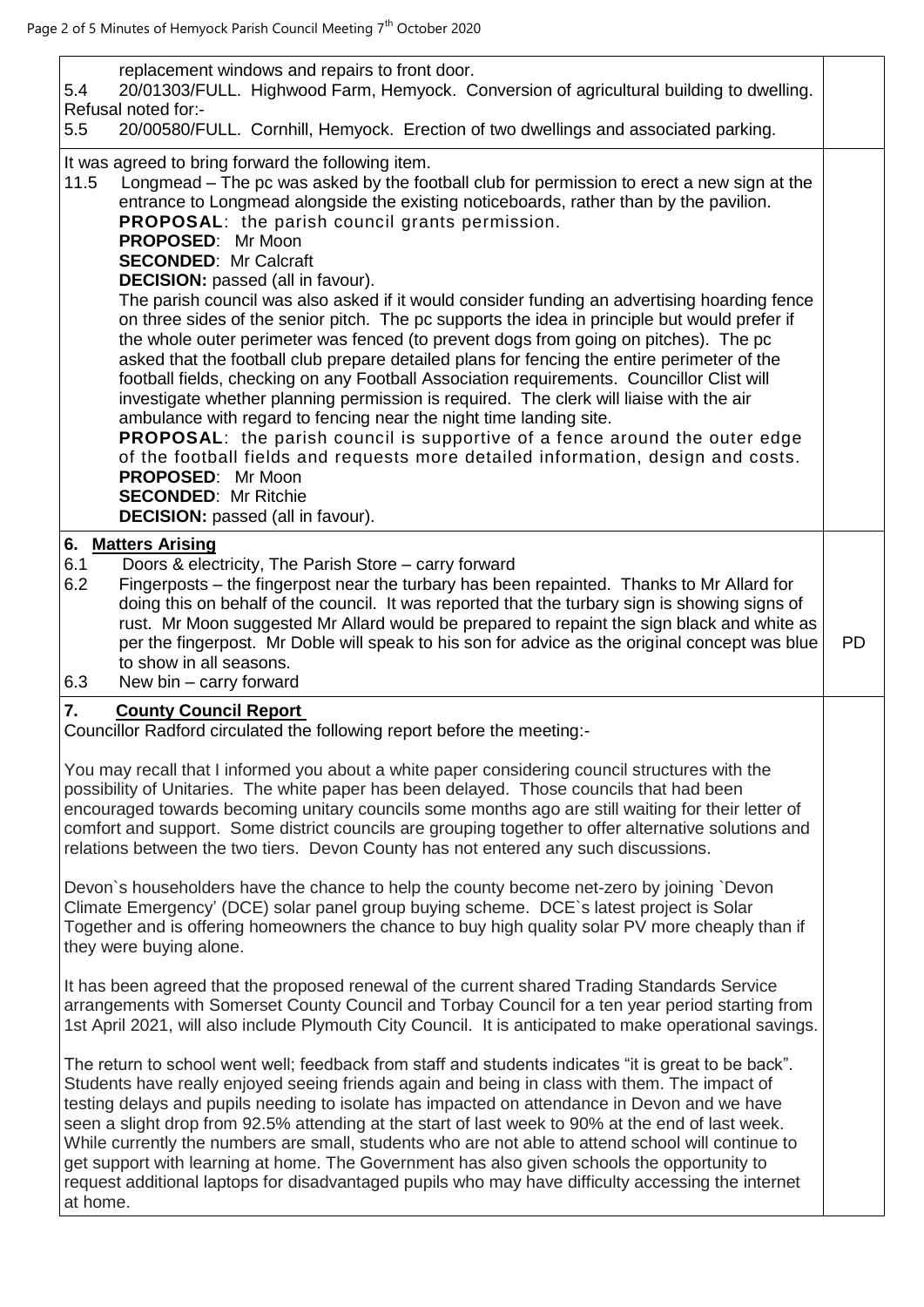| replacement windows and repairs to front door.<br>20/01303/FULL. Highwood Farm, Hemyock. Conversion of agricultural building to dwelling.<br>5.4<br>Refusal noted for:-                                                                                                                                                                                                                                                                                                                                                                                                                                                                                                                                                                                                                                                                                                                                                                                                                                                                                                                                                                                                                                                                                                                                                                              |           |
|------------------------------------------------------------------------------------------------------------------------------------------------------------------------------------------------------------------------------------------------------------------------------------------------------------------------------------------------------------------------------------------------------------------------------------------------------------------------------------------------------------------------------------------------------------------------------------------------------------------------------------------------------------------------------------------------------------------------------------------------------------------------------------------------------------------------------------------------------------------------------------------------------------------------------------------------------------------------------------------------------------------------------------------------------------------------------------------------------------------------------------------------------------------------------------------------------------------------------------------------------------------------------------------------------------------------------------------------------|-----------|
| 20/00580/FULL. Cornhill, Hemyock. Erection of two dwellings and associated parking.<br>5.5                                                                                                                                                                                                                                                                                                                                                                                                                                                                                                                                                                                                                                                                                                                                                                                                                                                                                                                                                                                                                                                                                                                                                                                                                                                           |           |
| It was agreed to bring forward the following item.<br>Longmead – The pc was asked by the football club for permission to erect a new sign at the<br>11.5<br>entrance to Longmead alongside the existing noticeboards, rather than by the pavilion.<br><b>PROPOSAL:</b> the parish council grants permission.<br>PROPOSED: Mr Moon<br><b>SECONDED: Mr Calcraft</b><br><b>DECISION:</b> passed (all in favour).<br>The parish council was also asked if it would consider funding an advertising hoarding fence<br>on three sides of the senior pitch. The pc supports the idea in principle but would prefer if<br>the whole outer perimeter was fenced (to prevent dogs from going on pitches). The pc<br>asked that the football club prepare detailed plans for fencing the entire perimeter of the<br>football fields, checking on any Football Association requirements. Councillor Clist will<br>investigate whether planning permission is required. The clerk will liaise with the air<br>ambulance with regard to fencing near the night time landing site.<br><b>PROPOSAL:</b> the parish council is supportive of a fence around the outer edge<br>of the football fields and requests more detailed information, design and costs.<br><b>PROPOSED:</b> Mr Moon<br><b>SECONDED: Mr Ritchie</b><br><b>DECISION:</b> passed (all in favour). |           |
| 6. Matters Arising<br>Doors & electricity, The Parish Store - carry forward<br>6.1<br>6.2<br>Fingerposts – the fingerpost near the turbary has been repainted. Thanks to Mr Allard for<br>doing this on behalf of the council. It was reported that the turbary sign is showing signs of<br>rust. Mr Moon suggested Mr Allard would be prepared to repaint the sign black and white as<br>per the fingerpost. Mr Doble will speak to his son for advice as the original concept was blue<br>to show in all seasons.<br>6.3<br>New bin - carry forward                                                                                                                                                                                                                                                                                                                                                                                                                                                                                                                                                                                                                                                                                                                                                                                                | <b>PD</b> |
| 7.<br><b>County Council Report</b><br>Councillor Radford circulated the following report before the meeting:-                                                                                                                                                                                                                                                                                                                                                                                                                                                                                                                                                                                                                                                                                                                                                                                                                                                                                                                                                                                                                                                                                                                                                                                                                                        |           |
| You may recall that I informed you about a white paper considering council structures with the<br>possibility of Unitaries. The white paper has been delayed. Those councils that had been<br>encouraged towards becoming unitary councils some months ago are still waiting for their letter of<br>comfort and support. Some district councils are grouping together to offer alternative solutions and<br>relations between the two tiers. Devon County has not entered any such discussions.<br>Devon's householders have the chance to help the county become net-zero by joining `Devon                                                                                                                                                                                                                                                                                                                                                                                                                                                                                                                                                                                                                                                                                                                                                         |           |
| Climate Emergency' (DCE) solar panel group buying scheme. DCE's latest project is Solar<br>Together and is offering homeowners the chance to buy high quality solar PV more cheaply than if<br>they were buying alone.                                                                                                                                                                                                                                                                                                                                                                                                                                                                                                                                                                                                                                                                                                                                                                                                                                                                                                                                                                                                                                                                                                                               |           |
| It has been agreed that the proposed renewal of the current shared Trading Standards Service<br>arrangements with Somerset County Council and Torbay Council for a ten year period starting from<br>1st April 2021, will also include Plymouth City Council. It is anticipated to make operational savings.                                                                                                                                                                                                                                                                                                                                                                                                                                                                                                                                                                                                                                                                                                                                                                                                                                                                                                                                                                                                                                          |           |
| The return to school went well; feedback from staff and students indicates "it is great to be back".<br>Students have really enjoyed seeing friends again and being in class with them. The impact of<br>testing delays and pupils needing to isolate has impacted on attendance in Devon and we have<br>seen a slight drop from 92.5% attending at the start of last week to 90% at the end of last week.<br>While currently the numbers are small, students who are not able to attend school will continue to<br>get support with learning at home. The Government has also given schools the opportunity to<br>request additional laptops for disadvantaged pupils who may have difficulty accessing the internet<br>at home.                                                                                                                                                                                                                                                                                                                                                                                                                                                                                                                                                                                                                    |           |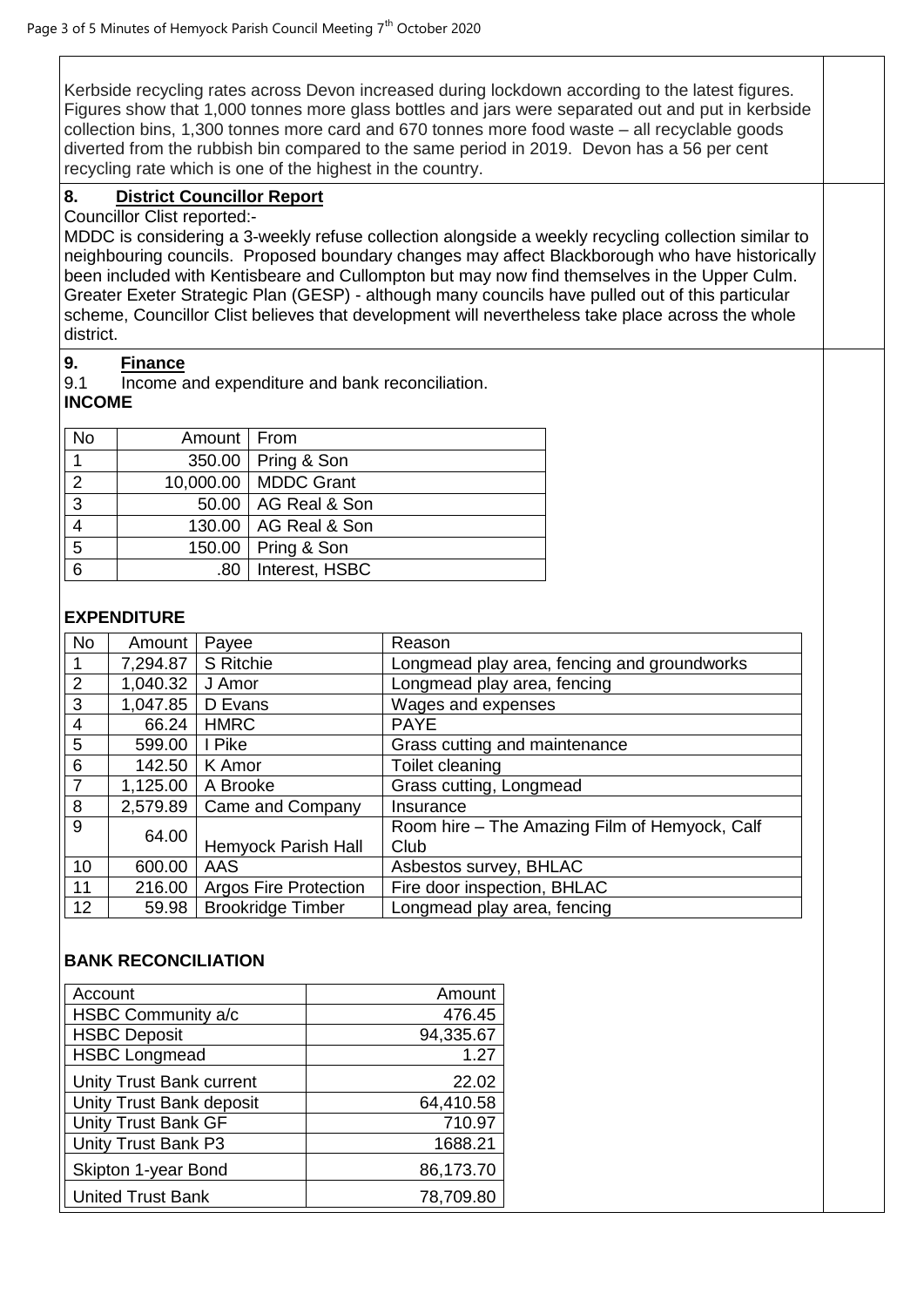Kerbside recycling rates across Devon increased during lockdown according to the latest figures. Figures show that 1,000 tonnes more glass bottles and jars were separated out and put in kerbside collection bins, 1,300 tonnes more card and 670 tonnes more food waste – all recyclable goods diverted from the rubbish bin compared to the same period in 2019. Devon has a 56 per cent recycling rate which is one of the highest in the country.

# **8. District Councillor Report**

Councillor Clist reported:-

MDDC is considering a 3-weekly refuse collection alongside a weekly recycling collection similar to neighbouring councils. Proposed boundary changes may affect Blackborough who have historically been included with Kentisbeare and Cullompton but may now find themselves in the Upper Culm. Greater Exeter Strategic Plan (GESP) - although many councils have pulled out of this particular scheme, Councillor Clist believes that development will nevertheless take place across the whole district.

### **9. Finance**

9.1 Income and expenditure and bank reconciliation.

## **INCOME**

| <b>No</b>      | Amount   From |                        |
|----------------|---------------|------------------------|
|                |               | 350.00   Pring & Son   |
| $\overline{2}$ |               | 10,000.00   MDDC Grant |
| 3              |               | 50.00   AG Real & Son  |
|                |               | 130.00   AG Real & Son |
| 5              |               | 150.00   Pring & Son   |
| 6              | ا 80.         | Interest, HSBC         |

### **EXPENDITURE**

| <b>No</b>      | Amount              | Payee                        | Reason                                        |
|----------------|---------------------|------------------------------|-----------------------------------------------|
| 1              | 7,294.87            | S Ritchie                    | Longmead play area, fencing and groundworks   |
| 2              | 1,040.32            | J Amor                       | Longmead play area, fencing                   |
| 3              | 1,047.85            | D Evans                      | Wages and expenses                            |
| $\overline{4}$ | 66.24               | <b>HMRC</b>                  | <b>PAYE</b>                                   |
| 5              | 599.00              | I Pike                       | Grass cutting and maintenance                 |
| 6              | 142.50              | K Amor                       | Toilet cleaning                               |
| $\overline{7}$ | 1,125.00            | A Brooke                     | Grass cutting, Longmead                       |
| 8              | 2,579.89            | Came and Company             | Insurance                                     |
| 9<br>64.00     |                     |                              | Room hire - The Amazing Film of Hemyock, Calf |
|                | Hemyock Parish Hall | Club                         |                                               |
| 10             | 600.00              | <b>AAS</b>                   | Asbestos survey, BHLAC                        |
| 11             | 216.00              | <b>Argos Fire Protection</b> | Fire door inspection, BHLAC                   |
| 12             | 59.98               | <b>Brookridge Timber</b>     | Longmead play area, fencing                   |

#### **BANK RECONCILIATION**

| Account                    | Amount    |
|----------------------------|-----------|
| HSBC Community a/c         | 476.45    |
| <b>HSBC Deposit</b>        | 94,335.67 |
| <b>HSBC Longmead</b>       | 1.27      |
| Unity Trust Bank current   | 22.02     |
| Unity Trust Bank deposit   | 64,410.58 |
| <b>Unity Trust Bank GF</b> | 710.97    |
| Unity Trust Bank P3        | 1688.21   |
| Skipton 1-year Bond        | 86,173.70 |
| <b>United Trust Bank</b>   | 78,709.80 |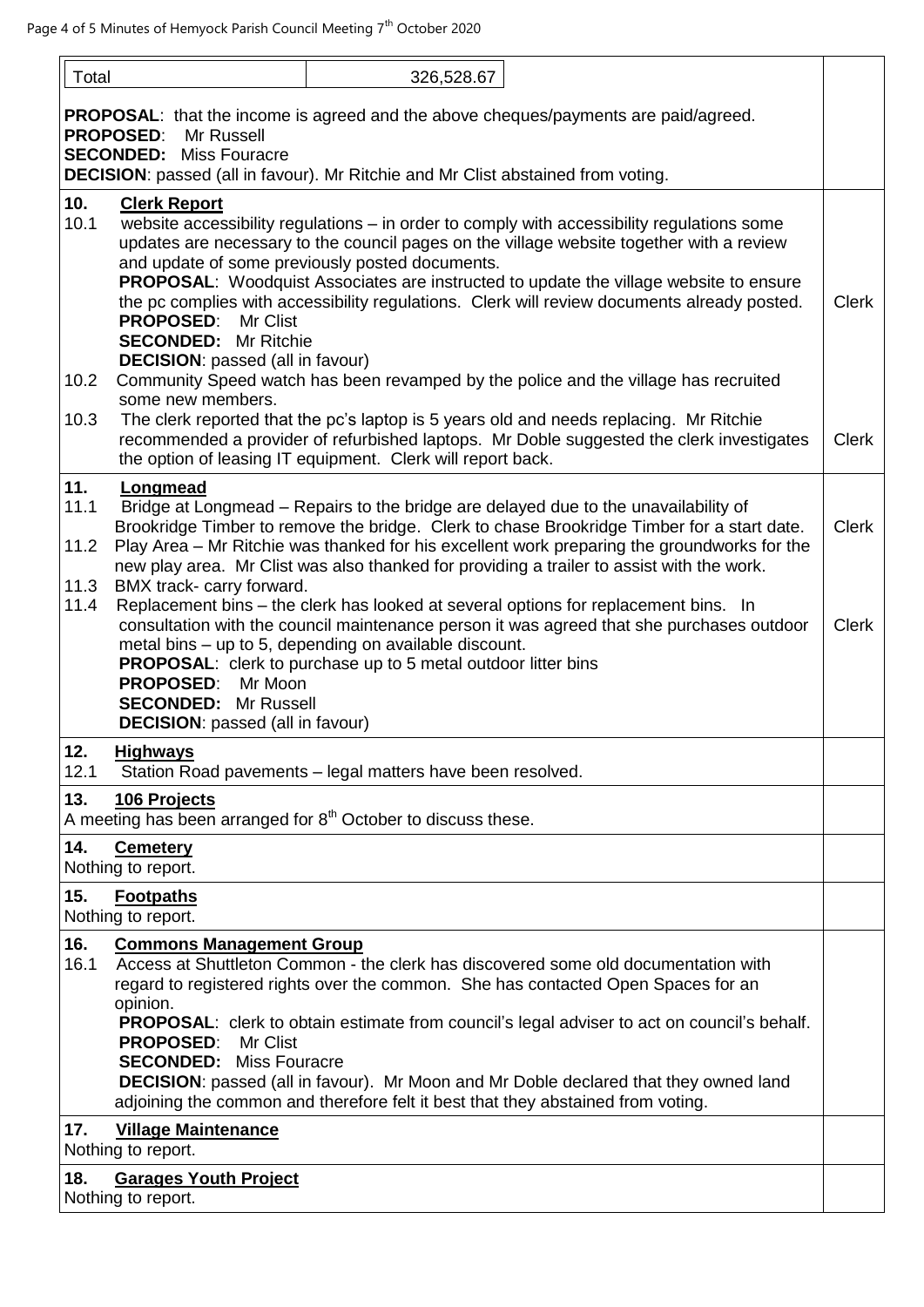| Total                       | 326,528.67                                                                                                                                                                                                                                                                                                                                                                                                                                                                                                                                                                        |              |
|-----------------------------|-----------------------------------------------------------------------------------------------------------------------------------------------------------------------------------------------------------------------------------------------------------------------------------------------------------------------------------------------------------------------------------------------------------------------------------------------------------------------------------------------------------------------------------------------------------------------------------|--------------|
|                             | <b>PROPOSAL:</b> that the income is agreed and the above cheques/payments are paid/agreed.<br><b>PROPOSED:</b><br>Mr Russell<br><b>SECONDED: Miss Fouracre</b>                                                                                                                                                                                                                                                                                                                                                                                                                    |              |
|                             | <b>DECISION:</b> passed (all in favour). Mr Ritchie and Mr Clist abstained from voting.                                                                                                                                                                                                                                                                                                                                                                                                                                                                                           |              |
| 10.<br>10.1                 | <b>Clerk Report</b><br>website accessibility regulations - in order to comply with accessibility regulations some<br>updates are necessary to the council pages on the village website together with a review<br>and update of some previously posted documents.<br><b>PROPOSAL:</b> Woodquist Associates are instructed to update the village website to ensure<br>the pc complies with accessibility regulations. Clerk will review documents already posted.<br><b>PROPOSED:</b><br>Mr Clist<br><b>SECONDED:</b> Mr Ritchie<br><b>DECISION:</b> passed (all in favour)         | <b>Clerk</b> |
| 10.2                        | Community Speed watch has been revamped by the police and the village has recruited                                                                                                                                                                                                                                                                                                                                                                                                                                                                                               |              |
| 10.3                        | some new members.<br>The clerk reported that the pc's laptop is 5 years old and needs replacing. Mr Ritchie<br>recommended a provider of refurbished laptops. Mr Doble suggested the clerk investigates<br>the option of leasing IT equipment. Clerk will report back.                                                                                                                                                                                                                                                                                                            | <b>Clerk</b> |
| 11.<br>11.1<br>11.2<br>11.3 | Longmead<br>Bridge at Longmead – Repairs to the bridge are delayed due to the unavailability of<br>Brookridge Timber to remove the bridge. Clerk to chase Brookridge Timber for a start date.<br>Play Area - Mr Ritchie was thanked for his excellent work preparing the groundworks for the<br>new play area. Mr Clist was also thanked for providing a trailer to assist with the work.<br>BMX track- carry forward.                                                                                                                                                            | <b>Clerk</b> |
| 11.4                        | Replacement bins - the clerk has looked at several options for replacement bins. In<br>consultation with the council maintenance person it was agreed that she purchases outdoor<br>metal bins - up to 5, depending on available discount.<br><b>PROPOSAL:</b> clerk to purchase up to 5 metal outdoor litter bins<br><b>PROPOSED:</b><br>Mr Moon                                                                                                                                                                                                                                 | <b>Clerk</b> |
|                             | <b>SECONDED: Mr Russell</b><br><b>DECISION:</b> passed (all in favour)                                                                                                                                                                                                                                                                                                                                                                                                                                                                                                            |              |
| 12.<br>12.1                 | <b>Highways</b><br>Station Road pavements - legal matters have been resolved.                                                                                                                                                                                                                                                                                                                                                                                                                                                                                                     |              |
| 13.                         | 106 Projects<br>A meeting has been arranged for $8th$ October to discuss these.                                                                                                                                                                                                                                                                                                                                                                                                                                                                                                   |              |
| 14.                         | <b>Cemetery</b><br>Nothing to report.                                                                                                                                                                                                                                                                                                                                                                                                                                                                                                                                             |              |
| 15.                         | <b>Footpaths</b><br>Nothing to report.                                                                                                                                                                                                                                                                                                                                                                                                                                                                                                                                            |              |
| 16.<br>16.1                 | <b>Commons Management Group</b><br>Access at Shuttleton Common - the clerk has discovered some old documentation with<br>regard to registered rights over the common. She has contacted Open Spaces for an<br>opinion.<br><b>PROPOSAL:</b> clerk to obtain estimate from council's legal adviser to act on council's behalf.<br><b>PROPOSED:</b><br>Mr Clist<br><b>SECONDED:</b> Miss Fouracre<br><b>DECISION:</b> passed (all in favour). Mr Moon and Mr Doble declared that they owned land<br>adjoining the common and therefore felt it best that they abstained from voting. |              |
| 17.                         | <b>Village Maintenance</b><br>Nothing to report.                                                                                                                                                                                                                                                                                                                                                                                                                                                                                                                                  |              |
| 18.                         | <b>Garages Youth Project</b><br>Nothing to report.                                                                                                                                                                                                                                                                                                                                                                                                                                                                                                                                |              |
|                             |                                                                                                                                                                                                                                                                                                                                                                                                                                                                                                                                                                                   |              |